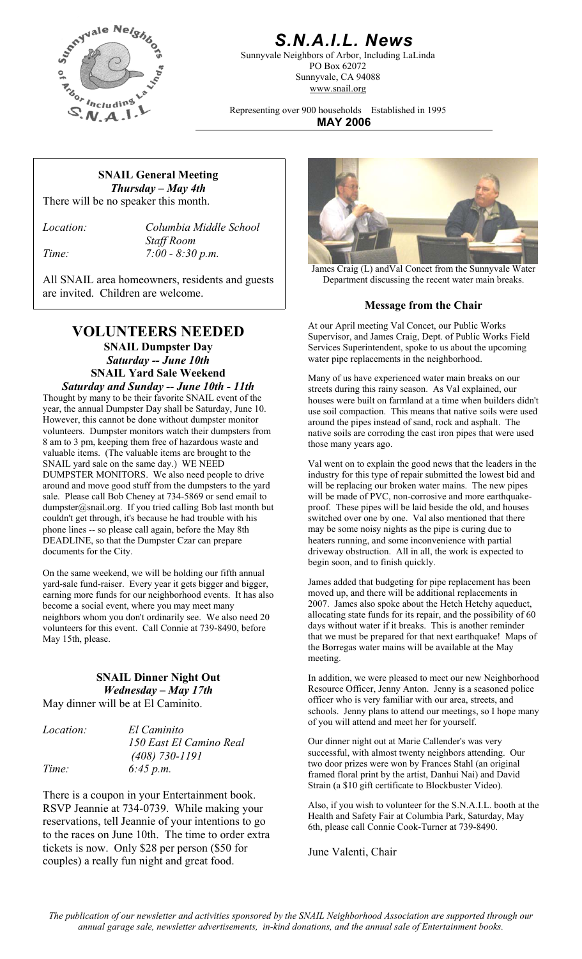

# *S.N.A.I.L. News*

Sunnyvale Neighbors of Arbor, Including LaLinda PO Box 62072 Sunnyvale, CA 94088 www.snail.org

Representing over 900 households Established in 1995 **MAY 2006**

#### **SNAIL General Meeting**  *Thursday – May 4th*  There will be no speaker this month.

*Location: Columbia Middle School Staff Room Time: 7:00 - 8:30 p.m.* 

All SNAIL area homeowners, residents and guests | Department discussing the recent water main breaks. are invited. Children are welcome.

# **VOLUNTEERS NEEDED**

**SNAIL Dumpster Day**  *Saturday -- June 10th*  **SNAIL Yard Sale Weekend** Many of us have experienced water main breaks on our

*Saturday and Sunday -- June 10th - 11th*  Thought by many to be their favorite SNAIL event of the year, the annual Dumpster Day shall be Saturday, June 10. However, this cannot be done without dumpster monitor volunteers. Dumpster monitors watch their dumpsters from 8 am to 3 pm, keeping them free of hazardous waste and valuable items. (The valuable items are brought to the SNAIL yard sale on the same day.) WE NEED DUMPSTER MONITORS. We also need people to drive around and move good stuff from the dumpsters to the yard sale. Please call Bob Cheney at 734-5869 or send email to dumpster@snail.org. If you tried calling Bob last month but couldn't get through, it's because he had trouble with his phone lines -- so please call again, before the May 8th DEADLINE, so that the Dumpster Czar can prepare documents for the City.

On the same weekend, we will be holding our fifth annual yard-sale fund-raiser. Every year it gets bigger and bigger, earning more funds for our neighborhood events. It has also become a social event, where you may meet many neighbors whom you don't ordinarily see. We also need 20 volunteers for this event. Call Connie at 739-8490, before May 15th, please.

## **SNAIL Dinner Night Out**  *Wednesday – May 17th*

May dinner will be at El Caminito.

| <i>Location:</i> | El Caminito          |
|------------------|----------------------|
|                  | 150 East El Camino I |
|                  | $(408)$ 730-1191     |
| Time:            | 6:45 p.m.            |

There is a coupon in your Entertainment book. RSVP Jeannie at 734-0739. While making your reservations, tell Jeannie of your intentions to go to the races on June 10th. The time to order extra tickets is now. Only \$28 per person (\$50 for The Valenti, Chair couples) a really fun night and great food. June Valenti, Chair



James Craig (L) andVal Concet from the Sunnyvale Water

### **Message from the Chair**

At our April meeting Val Concet, our Public Works Supervisor, and James Craig, Dept. of Public Works Field Services Superintendent, spoke to us about the upcoming water pipe replacements in the neighborhood.

streets during this rainy season. As Val explained, our houses were built on farmland at a time when builders didn't use soil compaction. This means that native soils were used around the pipes instead of sand, rock and asphalt. The native soils are corroding the cast iron pipes that were used those many years ago.

Val went on to explain the good news that the leaders in the industry for this type of repair submitted the lowest bid and will be replacing our broken water mains. The new pipes will be made of PVC, non-corrosive and more earthquakeproof. These pipes will be laid beside the old, and houses switched over one by one. Val also mentioned that there may be some noisy nights as the pipe is curing due to heaters running, and some inconvenience with partial driveway obstruction. All in all, the work is expected to begin soon, and to finish quickly.

James added that budgeting for pipe replacement has been moved up, and there will be additional replacements in 2007. James also spoke about the Hetch Hetchy aqueduct, allocating state funds for its repair, and the possibility of 60 days without water if it breaks. This is another reminder that we must be prepared for that next earthquake! Maps of the Borregas water mains will be available at the May meeting.

In addition, we were pleased to meet our new Neighborhood Resource Officer, Jenny Anton. Jenny is a seasoned police officer who is very familiar with our area, streets, and schools. Jenny plans to attend our meetings, so I hope many of you will attend and meet her for yourself.

*160 Real* **150 Courding El Camino Callender's was very** successful, with almost twenty neighbors attending. Our two door prizes were won by Frances Stahl (an original framed floral print by the artist, Danhui Nai) and David Strain (a \$10 gift certificate to Blockbuster Video).

> Also, if you wish to volunteer for the S.N.A.I.L. booth at the Health and Safety Fair at Columbia Park, Saturday, May 6th, please call Connie Cook-Turner at 739-8490.